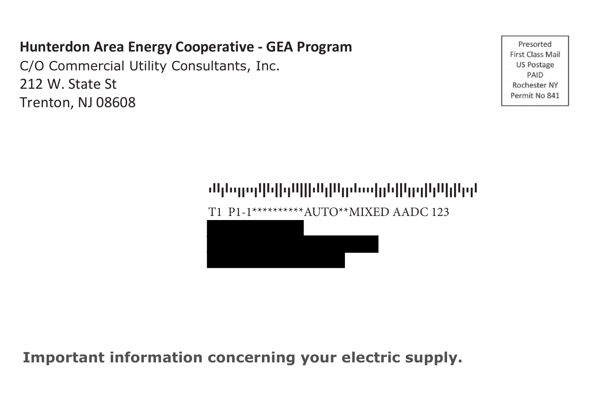## **Hunterdon Area Energy Cooperative - GEA Program**

C/O Commercial Utility Consultants, Inc. 212 W. State St Trenton, NJ 08608

Presorted **First Class Mail** US Postage PAID Rochester NY Permit No 841

# TAADATTDDTTDAFATFFTDAAFFFTAADFAADDTATTTTFDDATFFADDTDFADAAFDFADTDA

T1 P1-1\*\*\*\*\*\*\*\*\*\*AUTO\*\*MIXED AADC 123

**Important information concerning your electric supply.**